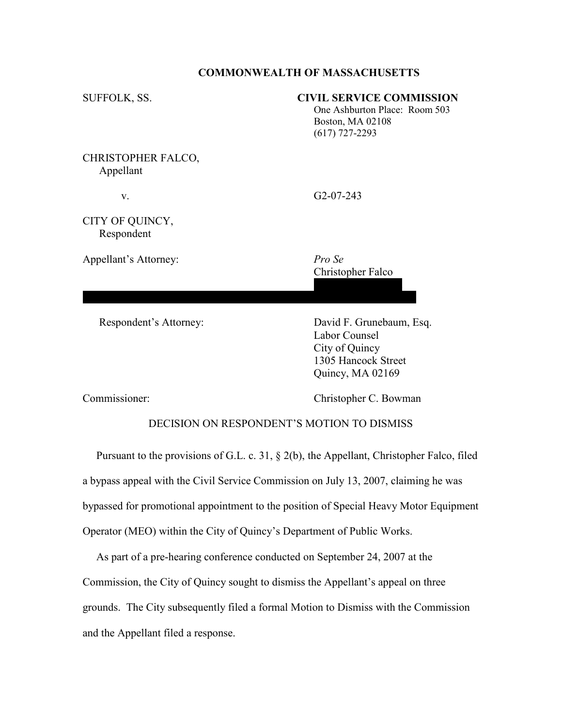## COMMONWEALTH OF MASSACHUSETTS

| SUFFOLK, SS.                    | <b>CIVIL SERVICE COMMISSION</b><br>One Ashburton Place: Room 503<br>Boston, MA 02108<br>$(617)$ 727-2293 |
|---------------------------------|----------------------------------------------------------------------------------------------------------|
| CHRISTOPHER FALCO,<br>Appellant |                                                                                                          |
| V.                              | $G2-07-243$                                                                                              |
| CITY OF QUINCY,<br>Respondent   |                                                                                                          |
| Appellant's Attorney:           | Pro Se<br>Christopher Falco                                                                              |
| Respondent's Attorney:          | David F. Grunebaum, Esq.<br>Labor Counsel<br>City of Quincy<br>1305 Hancock Street<br>Quincy, MA 02169   |

Commissioner: Christopher C. Bowman

## DECISION ON RESPONDENT'S MOTION TO DISMISS

 Pursuant to the provisions of G.L. c. 31, § 2(b), the Appellant, Christopher Falco, filed a bypass appeal with the Civil Service Commission on July 13, 2007, claiming he was bypassed for promotional appointment to the position of Special Heavy Motor Equipment Operator (MEO) within the City of Quincy's Department of Public Works.

 As part of a pre-hearing conference conducted on September 24, 2007 at the Commission, the City of Quincy sought to dismiss the Appellant's appeal on three grounds. The City subsequently filed a formal Motion to Dismiss with the Commission and the Appellant filed a response.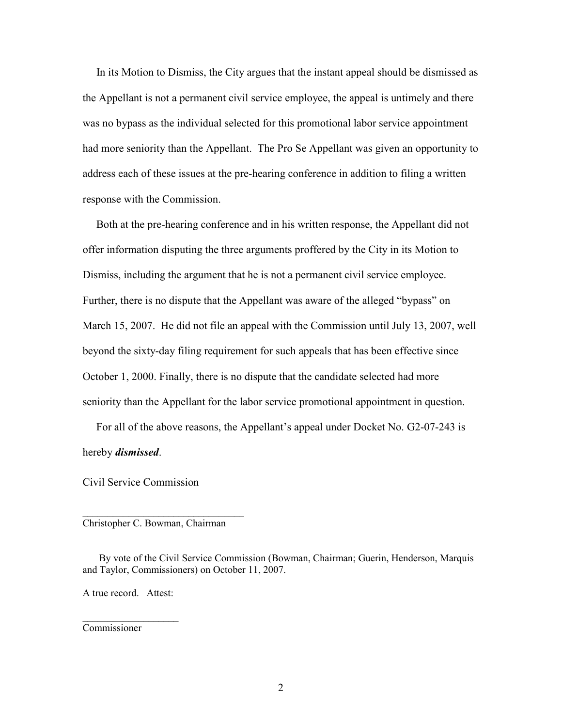In its Motion to Dismiss, the City argues that the instant appeal should be dismissed as the Appellant is not a permanent civil service employee, the appeal is untimely and there was no bypass as the individual selected for this promotional labor service appointment had more seniority than the Appellant. The Pro Se Appellant was given an opportunity to address each of these issues at the pre-hearing conference in addition to filing a written response with the Commission.

 Both at the pre-hearing conference and in his written response, the Appellant did not offer information disputing the three arguments proffered by the City in its Motion to Dismiss, including the argument that he is not a permanent civil service employee. Further, there is no dispute that the Appellant was aware of the alleged "bypass" on March 15, 2007. He did not file an appeal with the Commission until July 13, 2007, well beyond the sixty-day filing requirement for such appeals that has been effective since October 1, 2000. Finally, there is no dispute that the candidate selected had more seniority than the Appellant for the labor service promotional appointment in question.

 For all of the above reasons, the Appellant's appeal under Docket No. G2-07-243 is hereby dismissed.

Civil Service Commission

Christopher C. Bowman, Chairman

\_\_\_\_\_\_\_\_\_\_\_\_\_\_\_\_\_\_\_\_\_\_\_\_\_\_\_\_\_\_\_\_

 By vote of the Civil Service Commission (Bowman, Chairman; Guerin, Henderson, Marquis and Taylor, Commissioners) on October 11, 2007.

A true record. Attest:

 $\mathcal{L}=\mathcal{L}^{\text{max}}$ 

Commissioner